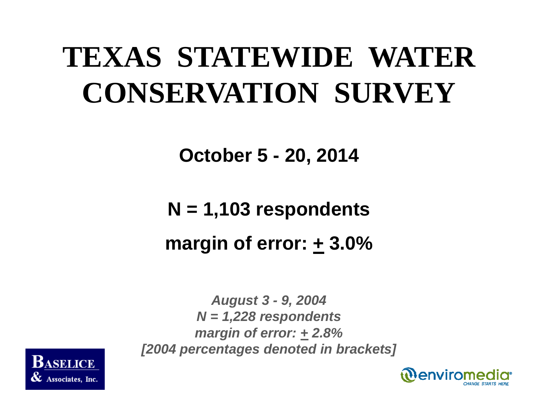# **TEXAS STATEWIDE WATER CONSERVATION SURVEY**

**October 5 - 20, 2014**

**N = 1,103 respondents margin of error: + 3.0%**

*August 3 - 9, 2004 N = 1,228 respondents margin of error: + 2.8% [2004 percentages denoted in brackets]*



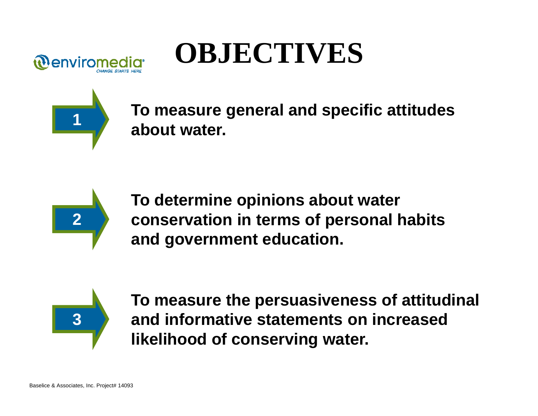

# **OBJECTIVES**



**To measure general and specific attitudes about water.**



**To determine opinions about water conservation in terms of personal habits and government education.** 



**To measure the persuasiveness of attitudinal and informative statements on increased likelihood of conserving water.**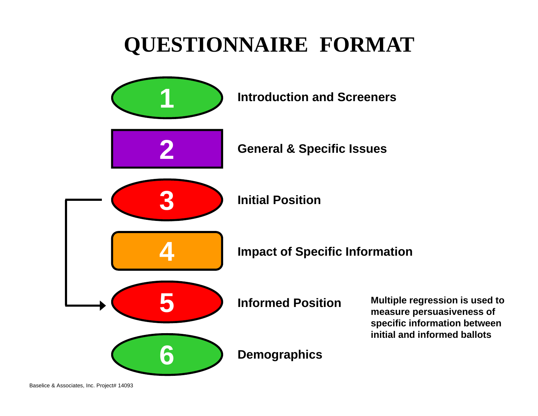#### **QUESTIONNAIRE FORMAT**

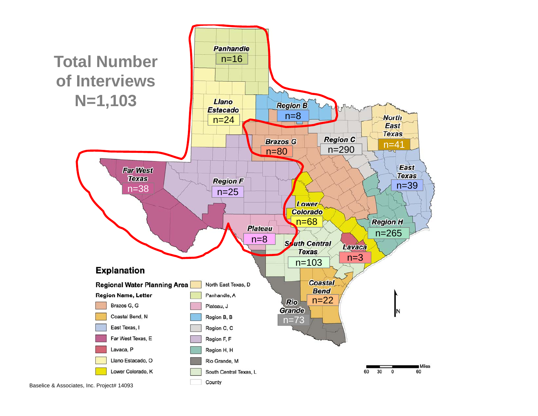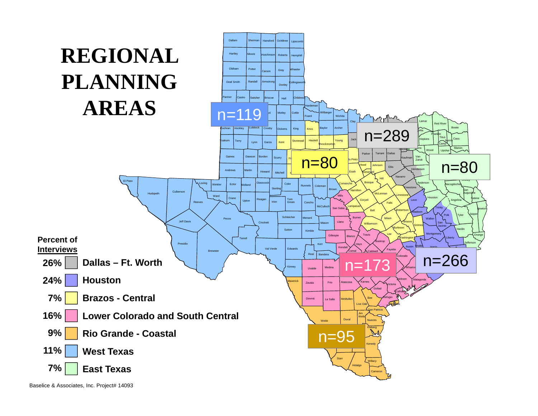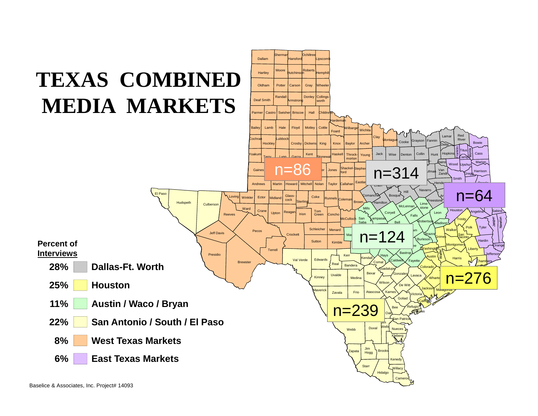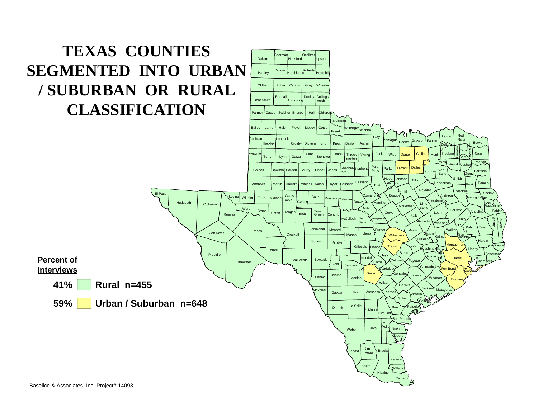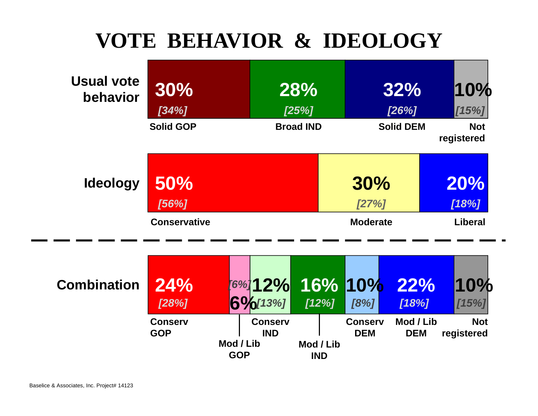#### **VOTE BEHAVIOR & IDEOLOGY**



| <b>Combination</b> | 24%<br>[28%]                 |                         | 6%[13%]                      | 112%                    | 18%                          | <b>FG%12% 16% 10% 22%</b><br>18% | 10%<br>115%              |
|--------------------|------------------------------|-------------------------|------------------------------|-------------------------|------------------------------|----------------------------------|--------------------------|
|                    | <b>Conserv</b><br><b>GOP</b> | Mod / Lib<br><b>GOP</b> | <b>Conserv</b><br><b>IND</b> | Mod / Lib<br><b>IND</b> | <b>Conserv</b><br><b>DEM</b> | Mod / Lib<br><b>DEM</b>          | <b>Not</b><br>registered |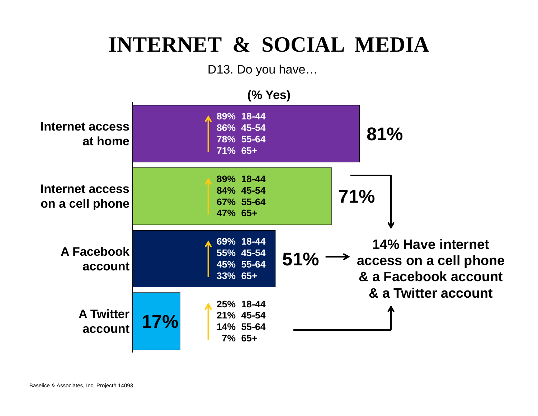#### **INTERNET & SOCIAL MEDIA**

D13. Do you have…

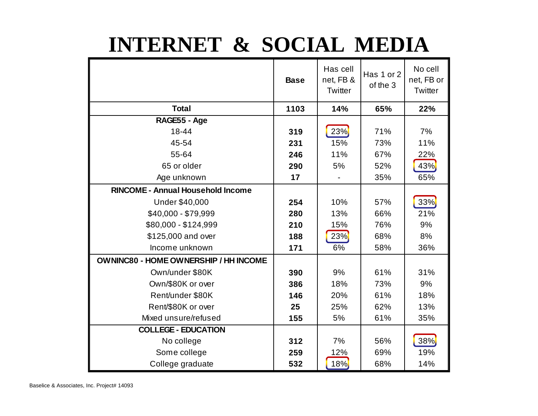#### **INTERNET & SOCIAL MEDIA**

|                                              | <b>Base</b> | Has cell<br>net, FB &<br>Twitter | Has 1 or 2<br>of the 3 | No cell<br>net, FB or<br>Twitter |
|----------------------------------------------|-------------|----------------------------------|------------------------|----------------------------------|
| <b>Total</b>                                 | 1103        | 14%                              | 65%                    | 22%                              |
| RAGE55 - Age                                 |             |                                  |                        |                                  |
| 18-44                                        | 319         | 23%                              | 71%                    | 7%                               |
| 45-54                                        | 231         | 15%                              | 73%                    | 11%                              |
| 55-64                                        | 246         | 11%                              | 67%                    | 22%                              |
| 65 or older                                  | 290         | 5%                               | 52%                    | 43%                              |
| Age unknown                                  | 17          |                                  | 35%                    | 65%                              |
| <b>RINCOME - Annual Household Income</b>     |             |                                  |                        |                                  |
| <b>Under \$40,000</b>                        | 254         | 10%                              | 57%                    | $33\%$                           |
| \$40,000 - \$79,999                          | 280         | 13%                              | 66%                    | 21%                              |
| \$80,000 - \$124,999                         | 210         | 15%                              | 76%                    | 9%                               |
| \$125,000 and over                           | 188         | 23%                              | 68%                    | 8%                               |
| Income unknown                               | 171         | 6%                               | 58%                    | 36%                              |
| <b>OWNINC80 - HOME OWNERSHIP / HH INCOME</b> |             |                                  |                        |                                  |
| Own/under \$80K                              | 390         | 9%                               | 61%                    | 31%                              |
| Own/\$80K or over                            | 386         | 18%                              | 73%                    | 9%                               |
| Rent/under \$80K                             | 146         | 20%                              | 61%                    | 18%                              |
| Rent/\$80K or over                           | 25          | 25%                              | 62%                    | 13%                              |
| Mixed unsure/refused                         | 155         | 5%                               | 61%                    | 35%                              |
| <b>COLLEGE - EDUCATION</b>                   |             |                                  |                        |                                  |
| No college                                   | 312         | 7%                               | 56%                    | 38%                              |
| Some college                                 | 259         | 12%                              | 69%                    | 19%                              |
| College graduate                             | 532         | 18%                              | 68%                    | 14%                              |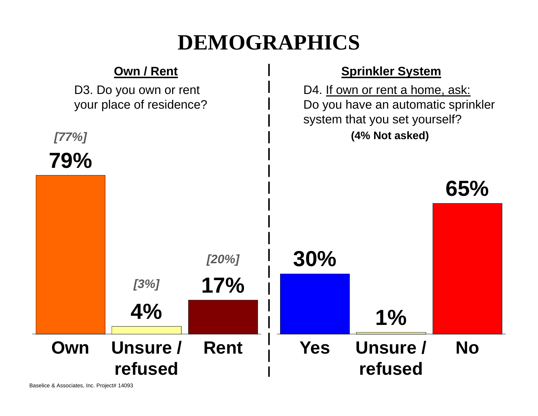#### **DEMOGRAPHICS**

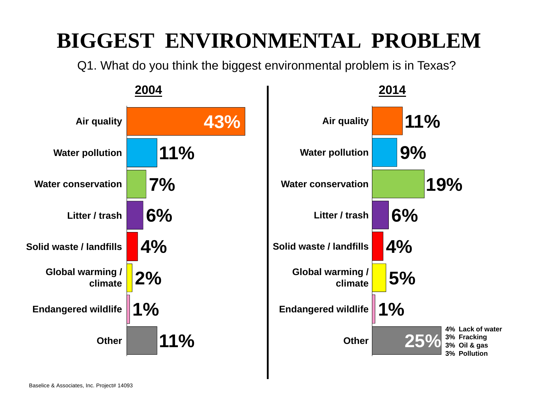#### **BIGGEST ENVIRONMENTAL PROBLEM**

Q1. What do you think the biggest environmental problem is in Texas?

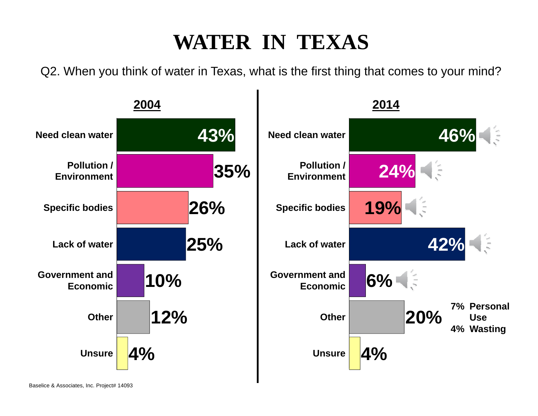#### **WATER IN TEXAS**

Q2. When you think of water in Texas, what is the first thing that comes to your mind?

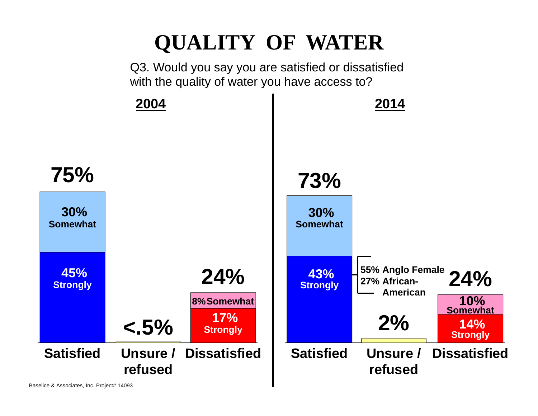#### **QUALITY OF WATER**

Q3. Would you say you are satisfied or dissatisfied with the quality of water you have access to?

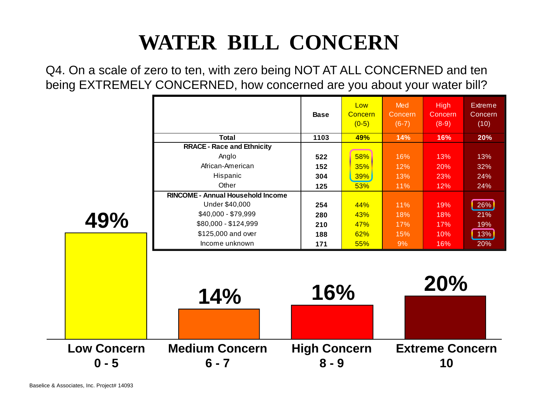### **WATER BILL CONCERN**

Q4. On a scale of zero to ten, with zero being NOT AT ALL CONCERNED and ten being EXTREMELY CONCERNED, how concerned are you about your water bill?

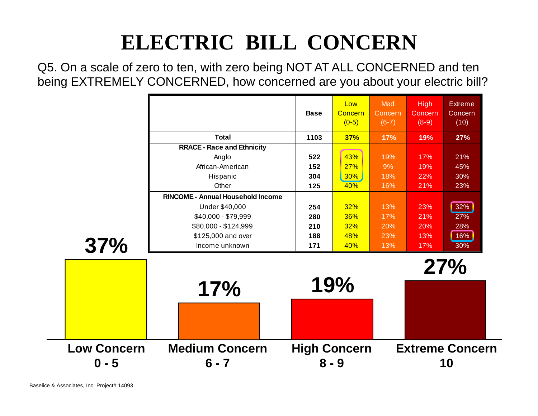## **ELECTRIC BILL CONCERN**

Q5. On a scale of zero to ten, with zero being NOT AT ALL CONCERNED and ten being EXTREMELY CONCERNED, how concerned are you about your electric bill?

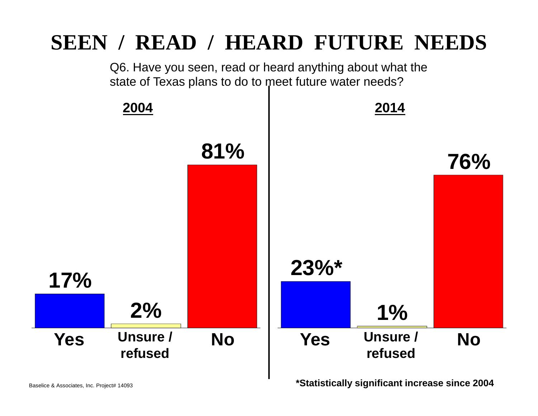#### **SEEN / READ / HEARD FUTURE NEEDS**

Q6. Have you seen, read or heard anything about what the state of Texas plans to do to meet future water needs?

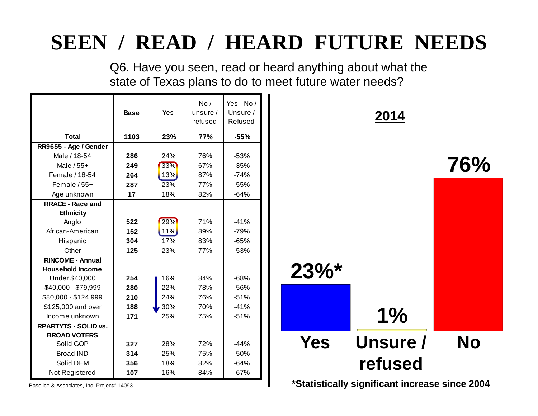#### **SEEN / READ / HEARD FUTURE NEEDS**

Q6. Have you seen, read or heard anything about what the state of Texas plans to do to meet future water needs?

|                                           | <b>Base</b> | Yes      | No/<br>unsure $/$<br>refused | Yes - No /<br>Unsure /<br>Refused |                     | 2014                           |
|-------------------------------------------|-------------|----------|------------------------------|-----------------------------------|---------------------|--------------------------------|
| <b>Total</b>                              | 1103        | 23%      | 77%                          | $-55%$                            |                     |                                |
| RR9655 - Age / Gender                     |             |          |                              |                                   |                     |                                |
| Male / 18-54                              | 286         | 24%      | 76%                          | $-53%$                            |                     |                                |
| Male $/55+$                               | 249         | 33%      | 67%                          | $-35%$                            |                     |                                |
| Female / 18-54                            | 264         | 13%      | 87%                          | $-74%$                            |                     |                                |
| Female $/55+$                             | 287         | 23%      | 77%                          | $-55%$                            |                     |                                |
| Age unknown                               | 17          | 18%      | 82%                          | $-64%$                            |                     |                                |
| <b>RRACE - Race and</b>                   |             |          |                              |                                   |                     |                                |
| <b>Ethnicity</b>                          |             |          |                              |                                   |                     |                                |
| Anglo                                     | 522         | 29%      | 71%                          | $-41%$                            |                     |                                |
| African-American                          | 152         | $11\%$   | 89%                          | $-79%$                            |                     |                                |
| Hispanic                                  | 304         | 17%      | 83%                          | $-65%$                            |                     |                                |
| Other                                     | 125         | 23%      | 77%                          | $-53%$                            |                     |                                |
| <b>RINCOME - Annual</b>                   |             |          |                              |                                   |                     |                                |
| <b>Household Income</b>                   |             |          |                              |                                   | $23\%$ <sup>*</sup> |                                |
| Under \$40,000                            | 254         | 16%      | 84%                          | $-68%$                            |                     |                                |
| \$40,000 - \$79,999                       | 280         | 22%      | 78%                          | $-56%$                            |                     |                                |
| \$80,000 - \$124,999                      | 210         | 24%      | 76%                          | $-51%$                            |                     |                                |
| \$125,000 and over                        | 188         | 30%<br>J | 70%                          | $-41%$                            |                     |                                |
| Income unknown                            | 171         | 25%      | 75%                          | $-51%$                            |                     | $1\%$                          |
| <b>RPARTYTS - SOLID vs.</b>               |             |          |                              |                                   |                     |                                |
| <b>BROAD VOTERS</b>                       |             |          |                              |                                   |                     |                                |
| Solid GOP                                 | 327         | 28%      | 72%                          | $-44%$                            | <b>Yes</b>          | <b>Unsure</b>                  |
| <b>Broad IND</b>                          | 314         | 25%      | 75%                          | $-50%$                            |                     |                                |
| Solid DEM                                 | 356         | 18%      | 82%                          | $-64%$                            |                     | refuse                         |
| Not Registered                            | 107         | 16%      | 84%                          | $-67%$                            |                     |                                |
| Baselice & Associates Inc. Project# 14093 |             |          |                              |                                   |                     | *Statistically significant ine |

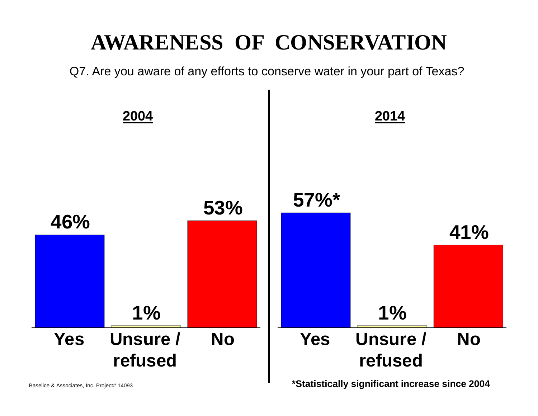#### **AWARENESS OF CONSERVATION**

Q7. Are you aware of any efforts to conserve water in your part of Texas?

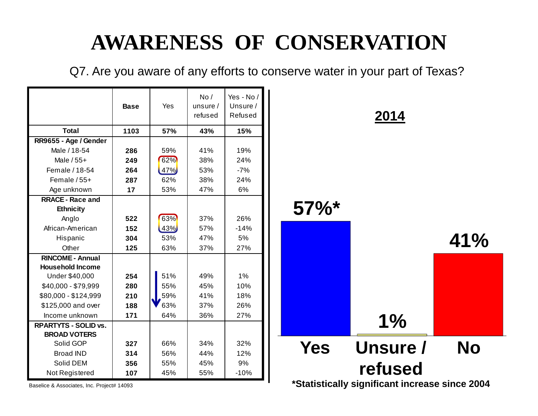#### **AWARENESS OF CONSERVATION**

Q7. Are you aware of any efforts to conserve water in your part of Texas?

|                             | <b>Base</b> | Yes   | No/<br>unsure $/$<br>refused | Yes - No /<br>Unsure /<br>Refused |
|-----------------------------|-------------|-------|------------------------------|-----------------------------------|
| <b>Total</b>                | 1103        | 57%   | 43%                          | 15%                               |
| RR9655 - Age / Gender       |             |       |                              |                                   |
| Male / 18-54                | 286         | 59%   | 41%                          | 19%                               |
| Male $/55+$                 | 249         | 62%   | 38%                          | 24%                               |
| Female / 18-54              | 264         | 47%   | 53%                          | $-7%$                             |
| Female $/55+$               | 287         | 62%   | 38%                          | 24%                               |
| Age unknown                 | 17          | 53%   | 47%                          | 6%                                |
| <b>RRACE - Race and</b>     |             |       |                              |                                   |
| <b>Ethnicity</b>            |             |       |                              |                                   |
| Anglo                       | 522         | 63%   | 37%                          | 26%                               |
| African-American            | 152         | (43%) | 57%                          | $-14%$                            |
| Hispanic                    | 304         | 53%   | 47%                          | 5%                                |
| Other                       | 125         | 63%   | 37%                          | 27%                               |
| <b>RINCOME - Annual</b>     |             |       |                              |                                   |
| <b>Household Income</b>     |             |       |                              |                                   |
| Under \$40,000              | 254         | 51%   | 49%                          | 1%                                |
| \$40,000 - \$79,999         | 280         | 55%   | 45%                          | 10%                               |
| \$80,000 - \$124,999        | 210         | 59%   | 41%                          | 18%                               |
| \$125,000 and over          | 188         | 63%   | 37%                          | 26%                               |
| Income unknown              | 171         | 64%   | 36%                          | 27%                               |
| <b>RPARTYTS - SOLID vs.</b> |             |       |                              |                                   |
| <b>BROAD VOTERS</b>         |             |       |                              |                                   |
| Solid GOP                   | 327         | 66%   | 34%                          | 32%                               |
| <b>Broad IND</b>            | 314         | 56%   | 44%                          | 12%                               |
| Solid DEM                   | 356         | 55%   | 45%                          | 9%                                |
| Not Registered              | 107         | 45%   | 55%                          | $-10%$                            |

**2014**

#### **57%\***

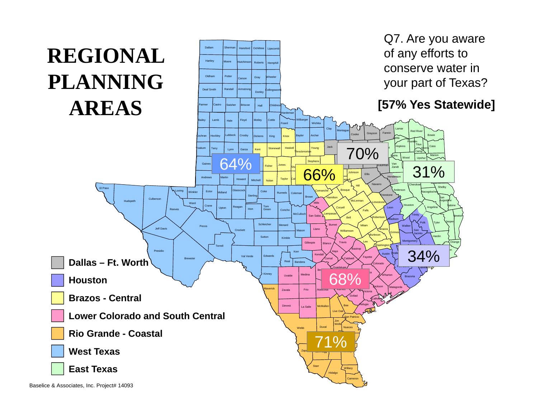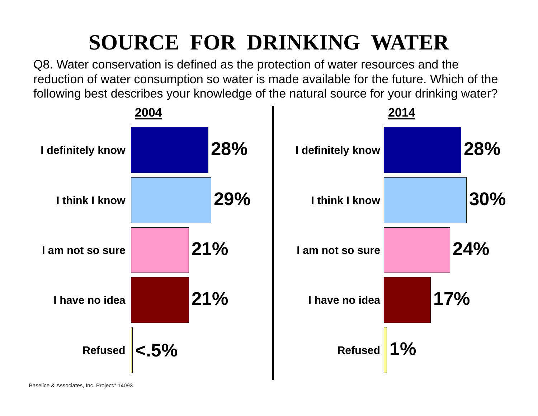## **SOURCE FOR DRINKING WATER**

Q8. Water conservation is defined as the protection of water resources and the reduction of water consumption so water is made available for the future. Which of the following best describes your knowledge of the natural source for your drinking water?

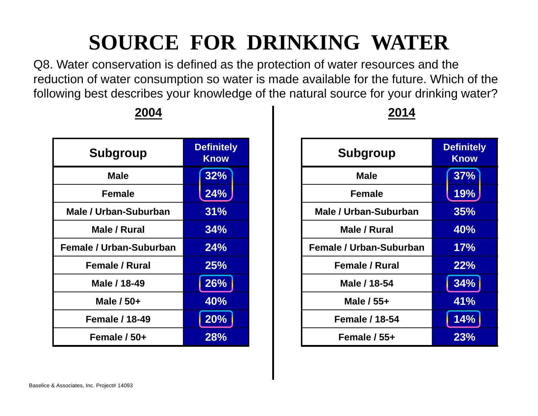### **SOURCE FOR DRINKING WATER**

Q8. Water conservation is defined as the protection of water resources and the reduction of water consumption so water is made available for the future. Which of the following best describes your knowledge of the natural source for your drinking water?

| <b>Subgroup</b>                | <b>Definitely</b><br><b>Know</b> |  |  |
|--------------------------------|----------------------------------|--|--|
| Male                           | 32%                              |  |  |
| <b>Female</b>                  | 24%                              |  |  |
| Male / Urban-Suburban          | 31%                              |  |  |
| Male / Rural                   | 34%                              |  |  |
| <b>Female / Urban-Suburban</b> | 24%                              |  |  |
| <b>Female / Rural</b>          | <b>25%</b>                       |  |  |
| Male / 18-49                   | 26%                              |  |  |
| Male $/50+$                    | 40%                              |  |  |
| <b>Female / 18-49</b>          | 20%                              |  |  |
| Female / 50+                   | 28%                              |  |  |

**2004**

| 4 | 2014 |
|---|------|
|   |      |

| <b>Subgroup</b>                | <b>Definitely</b><br><b>Know</b> |  |  |  |
|--------------------------------|----------------------------------|--|--|--|
| <b>Male</b>                    | 37%                              |  |  |  |
| <b>Female</b>                  | 19%                              |  |  |  |
| Male / Urban-Suburban          | 35%                              |  |  |  |
| Male / Rural                   | 40%                              |  |  |  |
| <b>Female / Urban-Suburban</b> | 17%                              |  |  |  |
| <b>Female / Rural</b>          | 22%                              |  |  |  |
| Male / 18-54                   | 34%                              |  |  |  |
| Male / 55+                     | 41%                              |  |  |  |
| <b>Female / 18-54</b>          | 14%                              |  |  |  |
| Female / 55+                   | 23%                              |  |  |  |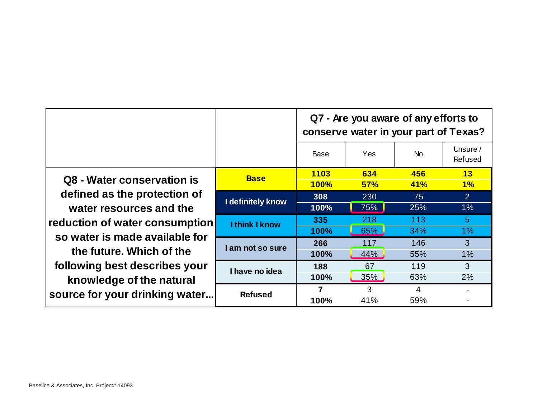|                                                                                           |                   | Q7 - Are you aware of any efforts to<br>conserve water in your part of Texas? |     |            |                     |  |  |
|-------------------------------------------------------------------------------------------|-------------------|-------------------------------------------------------------------------------|-----|------------|---------------------|--|--|
|                                                                                           |                   | Base                                                                          | Yes | <b>No</b>  | Unsure /<br>Refused |  |  |
| Q8 - Water conservation is                                                                | <b>Base</b>       | 1103                                                                          | 634 | 456        | 13                  |  |  |
| defined as the protection of<br>water resources and the<br>reduction of water consumption |                   | <b>100%</b>                                                                   | 57% | <b>41%</b> | 1%                  |  |  |
|                                                                                           | I definitely know | 308                                                                           | 230 | 75         | $\overline{2}$      |  |  |
|                                                                                           |                   | 100%                                                                          | 75% | 25%        | $1\%$               |  |  |
|                                                                                           | I think I know    | 335                                                                           | 218 | 113        | 5 <sup>5</sup>      |  |  |
|                                                                                           |                   | 100%                                                                          | 65% | 34%        | $1\%$               |  |  |
| so water is made available for                                                            | I am not so sure  | 266                                                                           | 117 | 146        | 3                   |  |  |
| the future. Which of the                                                                  |                   | 100%                                                                          | 44% | 55%        | 1%                  |  |  |
| following best describes your<br>knowledge of the natural                                 | I have no idea    | 188                                                                           | 67  | 119        | 3                   |  |  |
|                                                                                           |                   | 100%                                                                          | 35% | 63%        | 2%                  |  |  |
|                                                                                           | <b>Refused</b>    | 7                                                                             | 3   | 4          |                     |  |  |
| source for your drinking water                                                            |                   | 100%                                                                          | 41% | 59%        |                     |  |  |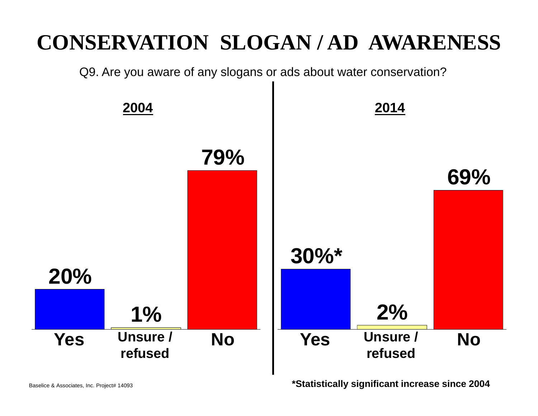#### **CONSERVATION SLOGAN / AD AWARENESS**

Q9. Are you aware of any slogans or ads about water conservation?



**\*Statistically significant increase since 2004**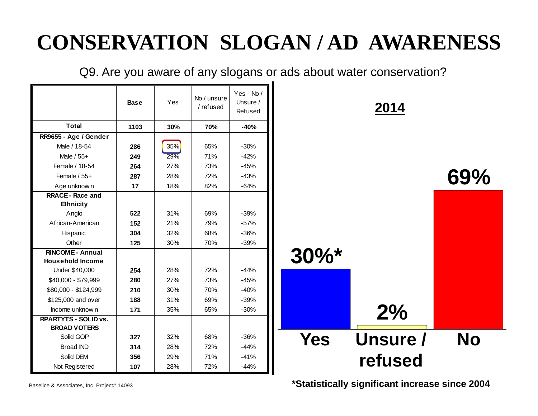#### **CONSERVATION SLOGAN / AD AWARENESS**

Q9. Are you aware of any slogans or ads about water conservation?

|                             | <b>Base</b> | Yes | No / unsure<br>/ refused | Yes - No/<br>Unsure /<br>Refused |                     | 2014     |           |
|-----------------------------|-------------|-----|--------------------------|----------------------------------|---------------------|----------|-----------|
| <b>Total</b>                | 1103        | 30% | 70%                      | $-40%$                           |                     |          |           |
| RR9655 - Age / Gender       |             |     |                          |                                  |                     |          |           |
| Male / 18-54                | 286         | 35% | 65%                      | $-30%$                           |                     |          |           |
| Male / 55+                  | 249         | 29% | 71%                      | $-42%$                           |                     |          |           |
| Female / 18-54              | 264         | 27% | 73%                      | $-45%$                           |                     |          |           |
| Female / 55+                | 287         | 28% | 72%                      | $-43%$                           |                     |          | 69%       |
| Age unknown                 | 17          | 18% | 82%                      | $-64%$                           |                     |          |           |
| <b>RRACE - Race and</b>     |             |     |                          |                                  |                     |          |           |
| <b>Ethnicity</b>            |             |     |                          |                                  |                     |          |           |
| Anglo                       | 522         | 31% | 69%                      | $-39%$                           |                     |          |           |
| African-American            | 152         | 21% | 79%                      | $-57%$                           |                     |          |           |
| Hispanic                    | 304         | 32% | 68%                      | $-36%$                           |                     |          |           |
| Other                       | 125         | 30% | 70%                      | $-39%$                           |                     |          |           |
| <b>RINCOME - Annual</b>     |             |     |                          |                                  | $30\%$ <sup>*</sup> |          |           |
| <b>Household Income</b>     |             |     |                          |                                  |                     |          |           |
| Under \$40,000              | 254         | 28% | 72%                      | $-44%$                           |                     |          |           |
| \$40,000 - \$79,999         | 280         | 27% | 73%                      | $-45%$                           |                     |          |           |
| \$80,000 - \$124,999        | 210         | 30% | 70%                      | $-40%$                           |                     |          |           |
| \$125,000 and over          | 188         | 31% | 69%                      | $-39%$                           |                     |          |           |
| Income unknow n             | 171         | 35% | 65%                      | $-30%$                           |                     | 2%       |           |
| <b>RPARTYTS - SOLID vs.</b> |             |     |                          |                                  |                     |          |           |
| <b>BROAD VOTERS</b>         |             |     |                          |                                  |                     |          |           |
| Solid GOP                   | 327         | 32% | 68%                      | $-36%$                           | <b>Yes</b>          | Unsure / | <b>No</b> |
| <b>Broad IND</b>            | 314         | 28% | 72%                      | $-44%$                           |                     |          |           |
| Solid DEM                   | 356         | 29% | 71%                      | $-41%$                           |                     | refused  |           |
| Not Registered              | 107         | 28% | 72%                      | $-44%$                           |                     |          |           |

**\*Statistically significant increase since 2004**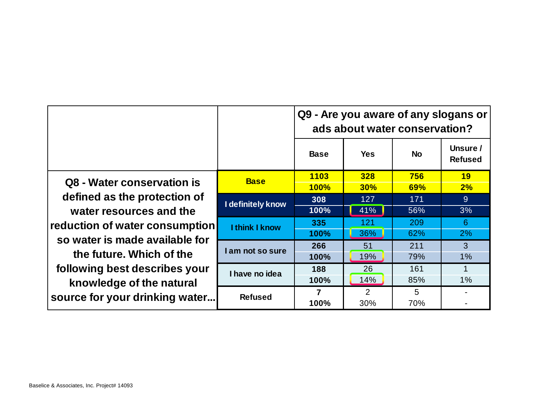|                                                                                                                         |                       | Q9 - Are you aware of any slogans or<br>ads about water conservation? |            |           |                            |  |  |  |
|-------------------------------------------------------------------------------------------------------------------------|-----------------------|-----------------------------------------------------------------------|------------|-----------|----------------------------|--|--|--|
|                                                                                                                         |                       | <b>Base</b>                                                           | <b>Yes</b> | <b>No</b> | Unsure /<br><b>Refused</b> |  |  |  |
| Q8 - Water conservation is<br>defined as the protection of<br>water resources and the<br>reduction of water consumption | <b>Base</b>           | 1103                                                                  | 328        | 756       | 19                         |  |  |  |
|                                                                                                                         |                       | <b>100%</b>                                                           | 30%        | 69%       | 2%                         |  |  |  |
|                                                                                                                         | I definitely know     | 308                                                                   | 127        | 171       | 9                          |  |  |  |
|                                                                                                                         |                       | 100%                                                                  | 41%        | 56%       | 3%                         |  |  |  |
|                                                                                                                         | <b>I think I know</b> | 335                                                                   | 121        | 209       | 6                          |  |  |  |
|                                                                                                                         |                       | 100%                                                                  | 36%        | 62%       | 2%                         |  |  |  |
| so water is made available for                                                                                          | I am not so sure      | 266                                                                   | 51         | 211       | 3                          |  |  |  |
| the future. Which of the                                                                                                |                       | 100%                                                                  | 19%        | 79%       | 1%                         |  |  |  |
| following best describes your                                                                                           | I have no idea        | 188                                                                   | 26         | 161       |                            |  |  |  |
| knowledge of the natural                                                                                                |                       | 100%                                                                  | 14%        | 85%       | $1\%$                      |  |  |  |
|                                                                                                                         | <b>Refused</b>        | 7                                                                     | 2          | 5         |                            |  |  |  |
| source for your drinking water                                                                                          |                       | 100%                                                                  | 30%        | 70%       |                            |  |  |  |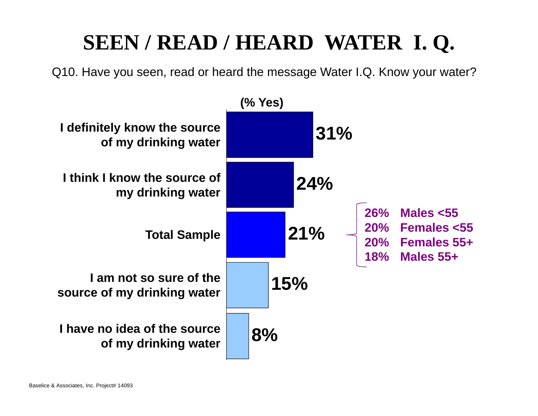#### **SEEN / READ / HEARD WATER I. Q.**

Q10. Have you seen, read or heard the message Water I.Q. Know your water?

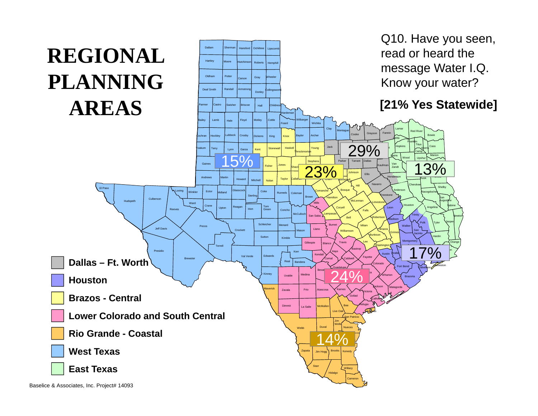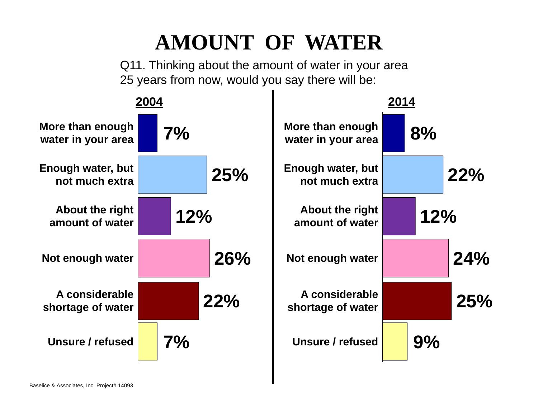## **AMOUNT OF WATER**

Q11. Thinking about the amount of water in your area 25 years from now, would you say there will be:

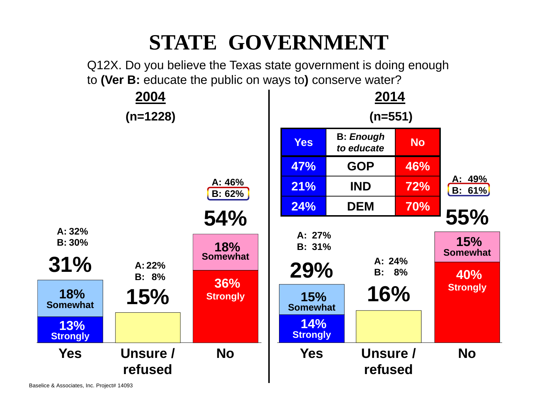#### **STATE GOVERNMENT**

Q12X. Do you believe the Texas state government is doing enough to **(Ver B:** educate the public on ways to**)** conserve water?

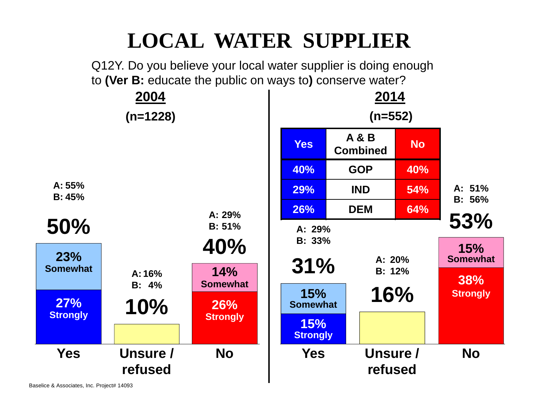#### **LOCAL WATER SUPPLIER**

Q12Y. Do you believe your local water supplier is doing enough to **(Ver B:** educate the public on ways to**)** conserve water?



Baselice & Associates, Inc. Project# 14093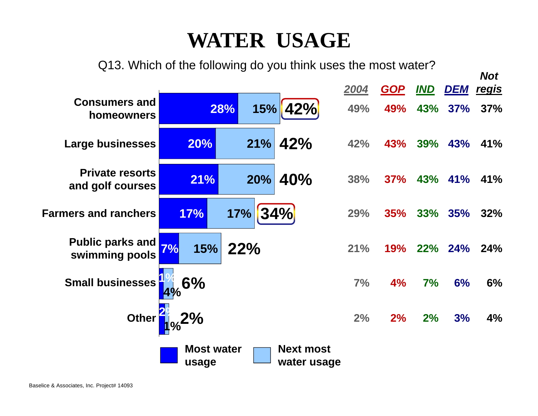#### **WATER USAGE**

Q13. Which of the following do you think uses the most water?

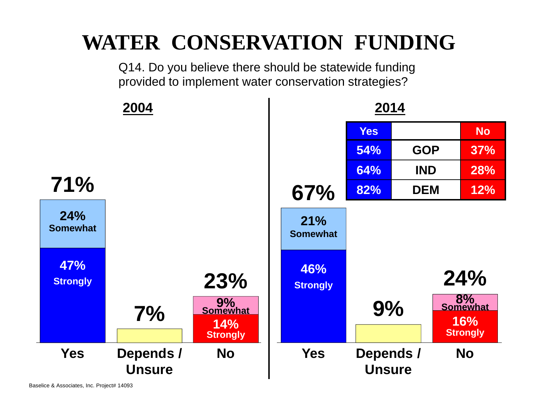#### **WATER CONSERVATION FUNDING**

Q14. Do you believe there should be statewide funding provided to implement water conservation strategies?



Baselice & Associates, Inc. Project# 14093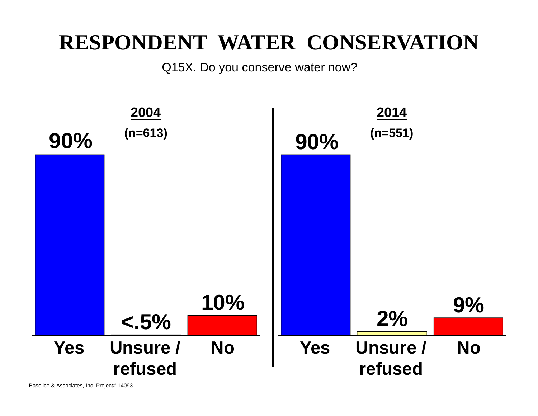#### **RESPONDENT WATER CONSERVATION**

Q15X. Do you conserve water now?

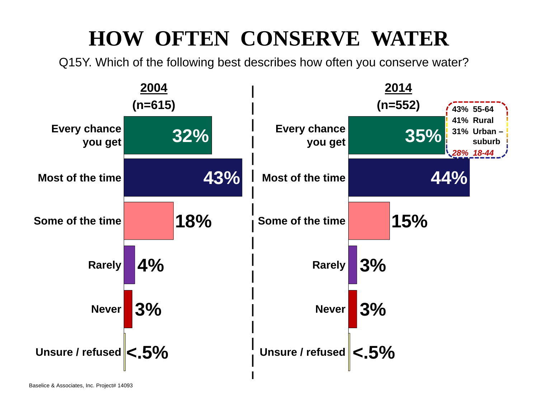### **HOW OFTEN CONSERVE WATER**

Q15Y. Which of the following best describes how often you conserve water?

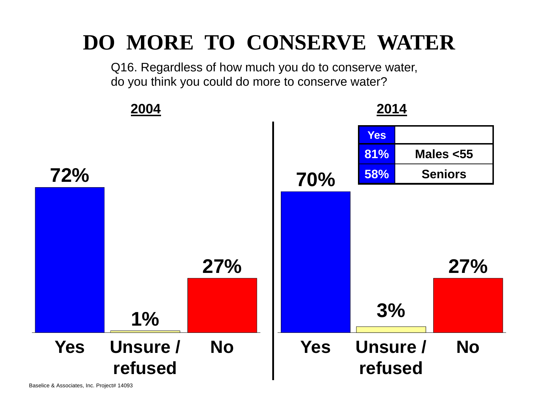#### **DO MORE TO CONSERVE WATER**

Q16. Regardless of how much you do to conserve water, do you think you could do more to conserve water?

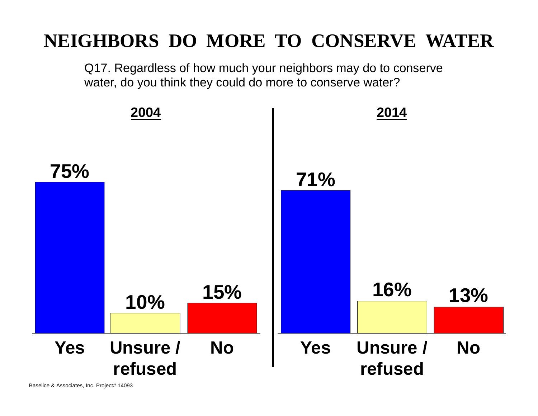#### **NEIGHBORS DO MORE TO CONSERVE WATER**

Q17. Regardless of how much your neighbors may do to conserve water, do you think they could do more to conserve water?

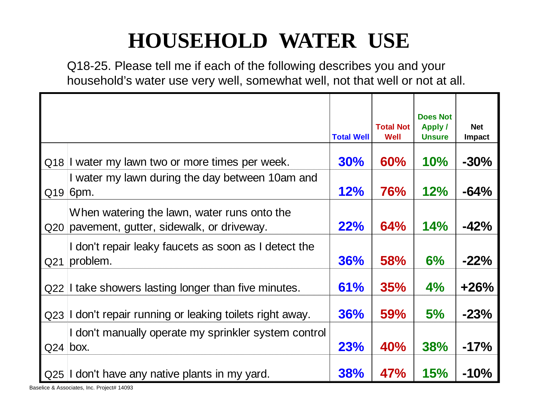## **HOUSEHOLD WATER USE**

Q18-25. Please tell me if each of the following describes you and your household's water use very well, somewhat well, not that well or not at all.

|     |                                                                                             | <b>Total Well</b> | <b>Total Not</b><br>Well | <b>Does Not</b><br><b>Apply /</b><br><b>Unsure</b> | <b>Net</b><br>Impact |
|-----|---------------------------------------------------------------------------------------------|-------------------|--------------------------|----------------------------------------------------|----------------------|
|     | Q18 I water my lawn two or more times per week.                                             | 30%               | 60%                      | 10%                                                | $-30%$               |
|     | I water my lawn during the day between 10am and<br>$Q19$ 6pm.                               | 12%               | <b>76%</b>               | 12%                                                | $-64%$               |
|     | When watering the lawn, water runs onto the<br>Q20 pavement, gutter, sidewalk, or driveway. | 22%               | 64%                      | 14%                                                | $-42%$               |
| Q21 | I don't repair leaky faucets as soon as I detect the<br>problem.                            | 36%               | <b>58%</b>               | 6%                                                 | $-22%$               |
|     | Q22 I take showers lasting longer than five minutes.                                        | 61%               | 35%                      | $4\%$                                              | $+26%$               |
|     | Q23 I don't repair running or leaking toilets right away.                                   | 36%               | <b>59%</b>               | 5%                                                 | $-23%$               |
|     | I don't manually operate my sprinkler system control<br>$Q24$ box.                          | 23%               | 40%                      | <b>38%</b>                                         | $-17%$               |
|     | Q25 I don't have any native plants in my yard.                                              | 38%               | 47%                      | <b>15%</b>                                         | $-10%$               |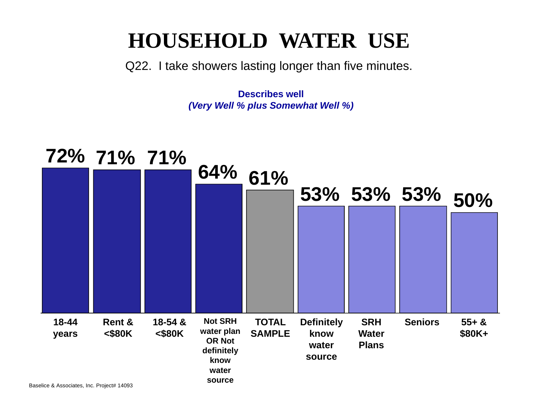#### **HOUSEHOLD WATER USE**

Q22. I take showers lasting longer than five minutes.

**Describes well** *(Very Well % plus Somewhat Well %)*

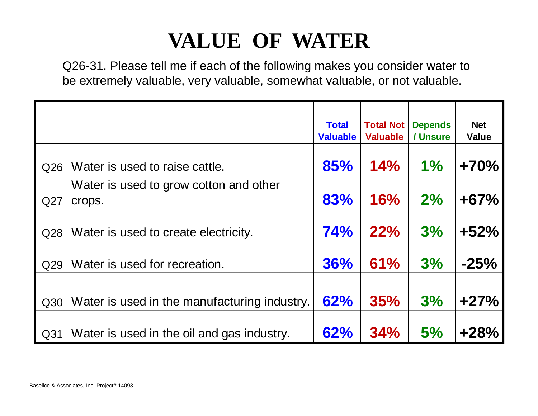### **VALUE OF WATER**

Q26-31. Please tell me if each of the following makes you consider water to be extremely valuable, very valuable, somewhat valuable, or not valuable.

|     |                                                  | <b>Total</b><br><b>Valuable</b> | <b>Total Not</b><br><b>Valuable</b> | <b>Depends</b><br>/ Unsure | <b>Net</b><br><b>Value</b> |
|-----|--------------------------------------------------|---------------------------------|-------------------------------------|----------------------------|----------------------------|
| Q26 | Water is used to raise cattle.                   | 85%                             | 14%                                 | 1%                         | $+70%$                     |
| Q27 | Water is used to grow cotton and other<br>crops. | 83%                             | 16%                                 | 2%                         | $+67%$                     |
| Q28 | Water is used to create electricity.             | 74%                             | 22%                                 | 3%                         | $+52%$                     |
| Q29 | Water is used for recreation.                    | 36%                             | 61%                                 | 3%                         | $-25%$                     |
| Q30 | Water is used in the manufacturing industry.     | 62%                             | <b>35%</b>                          | 3%                         | $+27%$                     |
| Q31 | Water is used in the oil and gas industry.       | 62%                             | 34%                                 | 5%                         | $+28%$                     |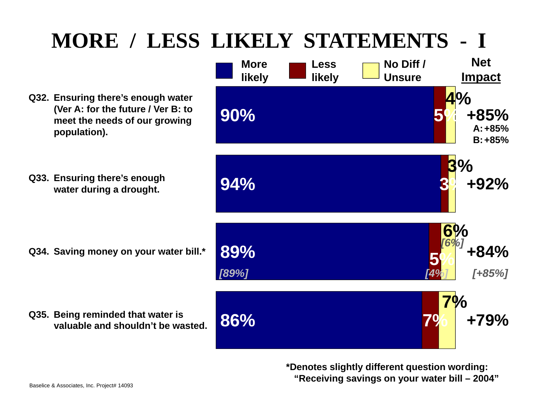## **MORE / LESS LIKELY STATEMENTS - I**

- **Q32. Ensuring there's enough water (Ver A: for the future / Ver B: to meet the needs of our growing population).**
- **Q33. Ensuring there's enough**

**Q34. Saving money on your water bill.\* 89%**

- **Q35. Being reminded that water is valuable and shouldn't be wasted.**
- **+84% 5%6% Net Impact More likely Less likely No Diff / Unsure+85%A:+85%B:***[89%] [4%] [+85%] [6%]* **86% 7% +79% 7%e** by the commission of the commission of the commission of the commission of the commission of the commission of  $3\%$  +92% **3% 90% 5% +85% 10**

**\*Denotes slightly different question wording: "Receiving savings on your water bill – 2004"**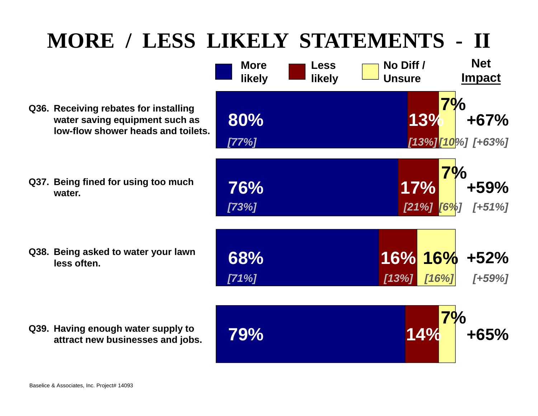### **MORE / LESS LIKELY STATEMENTS - II**

- **Q36. Receiving rebates for installing water saving equipment such as low-flow shower heads and toilets.**
- **Q37. Being fined for using too much water.**

**Q39. Having enough water supply to** 

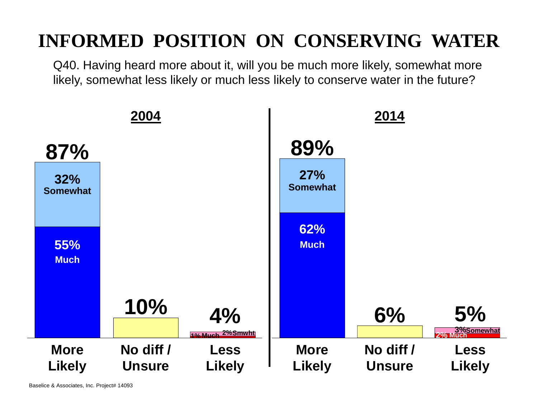#### **INFORMED POSITION ON CONSERVING WATER**

Q40. Having heard more about it, will you be much more likely, somewhat more likely, somewhat less likely or much less likely to conserve water in the future?

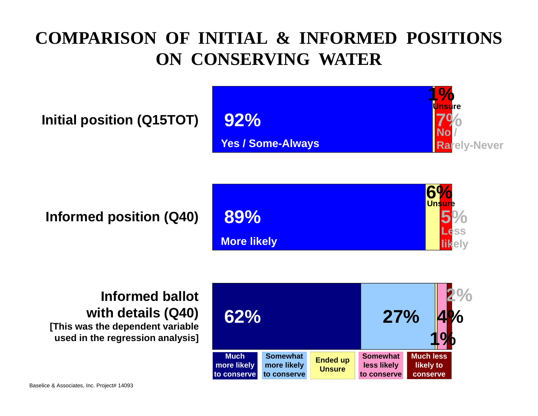#### **COMPARISON OF INITIAL & INFORMED POSITIONS ON CONSERVING WATER**

**Initial position (Q15TOT)**



**Informed position (Q40)**





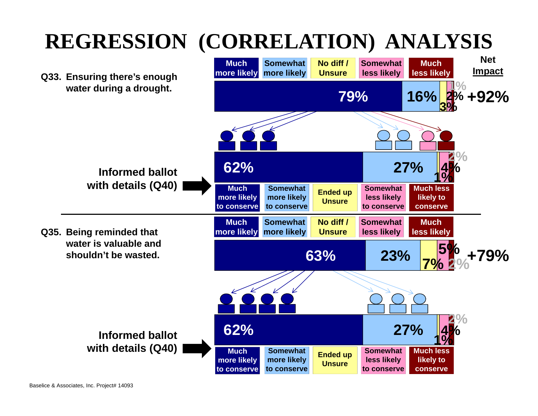## **REGRESSION (CORRELATION) ANALYSIS**

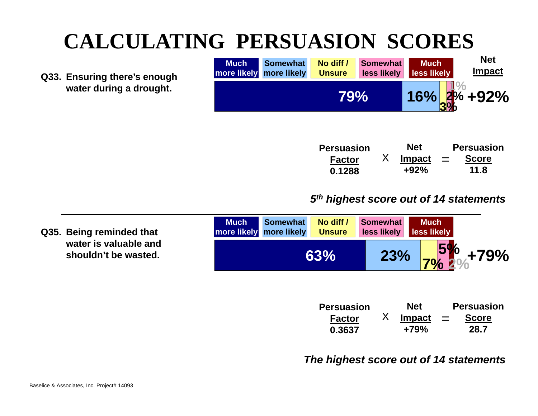### **CALCULATING PERSUASION SCORES**

**Q33. Ensuring there's enough water during a drought.** 



| Persuasion    | <b>Net</b> |          | <b>Persuasion</b> |
|---------------|------------|----------|-------------------|
| <b>Factor</b> | Impact     | $\equiv$ | <b>Score</b>      |
| 0.1288        | $+92%$     |          | 11.8              |

#### *5th highest score out of 14 statements*

| Q35. Being reminded that                      | <b>Much</b> | <b>Somewhat</b><br>more likely more likely | No diff /<br><b>Unsure</b> | Somewhat | <b>Much</b><br><b>Less likely Less likely</b> |                              |
|-----------------------------------------------|-------------|--------------------------------------------|----------------------------|----------|-----------------------------------------------|------------------------------|
| water is valuable and<br>shouldn't be wasted. |             |                                            | 63%                        |          |                                               | $23\%$ 7% $^{57}_{2}\%$ +79% |

| <b>Persuasion</b> | <b>Net</b>    |          | <b>Persuasion</b> |
|-------------------|---------------|----------|-------------------|
| <b>Factor</b>     | <b>Impact</b> | $\equiv$ | <b>Score</b>      |
| 0.3637            | +79%          |          | 28.7              |

#### *The highest score out of 14 statements*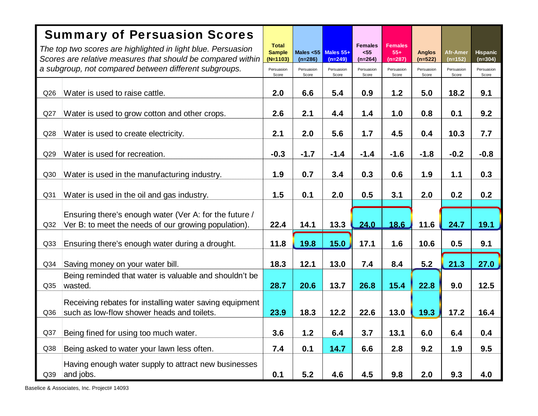|                 | <b>Summary of Persuasion Scores</b>                                                                                         |                                             |                           |                        |                                     |                                    |                          |                       |                            |
|-----------------|-----------------------------------------------------------------------------------------------------------------------------|---------------------------------------------|---------------------------|------------------------|-------------------------------------|------------------------------------|--------------------------|-----------------------|----------------------------|
|                 | The top two scores are highlighted in light blue. Persuasion<br>Scores are relative measures that should be compared within | <b>Total</b><br><b>Sample</b><br>$(N=1103)$ | Males $< 55$<br>$(n=286)$ | Males 55+<br>$(n=249)$ | <b>Females</b><br>$55$<br>$(n=264)$ | <b>Females</b><br>$55+$<br>(n=287) | <b>Anglos</b><br>(n=522) | Afr-Amer<br>$(n=152)$ | <b>Hispanic</b><br>(n=304) |
|                 | a subgroup, not compared between different subgroups.                                                                       | Persuasion<br>Score                         | Persuasion<br>Score       | Persuasion<br>Score    | Persuasion<br>Score                 | Persuasion<br>Score                | Persuasion<br>Score      | Persuasion<br>Score   | Persuasion<br>Score        |
| Q26             | Water is used to raise cattle.                                                                                              | 2.0                                         | 6.6                       | 5.4                    | 0.9                                 | 1.2                                | 5.0                      | 18.2                  | 9.1                        |
| Q27             | Water is used to grow cotton and other crops.                                                                               | 2.6                                         | 2.1                       | 4.4                    | 1.4                                 | 1.0                                | 0.8                      | 0.1                   | 9.2                        |
| Q28             | Water is used to create electricity.                                                                                        | 2.1                                         | 2.0                       | 5.6                    | 1.7                                 | 4.5                                | 0.4                      | 10.3                  | 7.7                        |
| Q29             | Water is used for recreation.                                                                                               | $-0.3$                                      | $-1.7$                    | $-1.4$                 | $-1.4$                              | $-1.6$                             | $-1.8$                   | $-0.2$                | $-0.8$                     |
| Q30             | Water is used in the manufacturing industry.                                                                                | 1.9                                         | 0.7                       | 3.4                    | 0.3                                 | 0.6                                | 1.9                      | 1.1                   | 0.3                        |
| Q <sub>31</sub> | Water is used in the oil and gas industry.                                                                                  | 1.5                                         | 0.1                       | 2.0                    | 0.5                                 | 3.1                                | 2.0                      | 0.2                   | 0.2                        |
|                 | Ensuring there's enough water (Ver A: for the future /                                                                      |                                             |                           |                        |                                     |                                    |                          |                       |                            |
| Q <sub>32</sub> | Ver B: to meet the needs of our growing population).                                                                        | 22.4                                        | 14.1                      | 13.3                   | 24.0                                | 18.6                               | 11.6                     | 24.7                  | 19.1                       |
| Q <sub>33</sub> | Ensuring there's enough water during a drought.                                                                             | 11.8                                        | 19.8                      | 15.0                   | 17.1                                | 1.6                                | 10.6                     | 0.5                   | 9.1                        |
| Q <sub>34</sub> | Saving money on your water bill.                                                                                            | 18.3                                        | 12.1                      | 13.0                   | 7.4                                 | 8.4                                | 5.2                      | 21.3                  | 27.0                       |
| Q <sub>35</sub> | Being reminded that water is valuable and shouldn't be<br>wasted.                                                           | 28.7                                        | 20.6                      | 13.7                   | 26.8                                | 15.4                               | 22.8                     | 9.0                   | 12.5                       |
|                 | Receiving rebates for installing water saving equipment                                                                     |                                             |                           |                        |                                     |                                    |                          |                       |                            |
| Q36             | such as low-flow shower heads and toilets.                                                                                  | 23.9                                        | 18.3                      | 12.2                   | 22.6                                | 13.0                               | 19.3                     | 17.2                  | 16.4                       |
| Q37             | Being fined for using too much water.                                                                                       | 3.6                                         | $1.2$                     | 6.4                    | 3.7                                 | 13.1                               | 6.0                      | 6.4                   | 0.4                        |
| Q38             | Being asked to water your lawn less often.                                                                                  | 7.4                                         | 0.1                       | 14.7                   | 6.6                                 | 2.8                                | 9.2                      | 1.9                   | 9.5                        |
| Q39             | Having enough water supply to attract new businesses<br>and jobs.                                                           | 0.1                                         | 5.2                       | 4.6                    | 4.5                                 | 9.8                                | 2.0                      | 9.3                   | 4.0                        |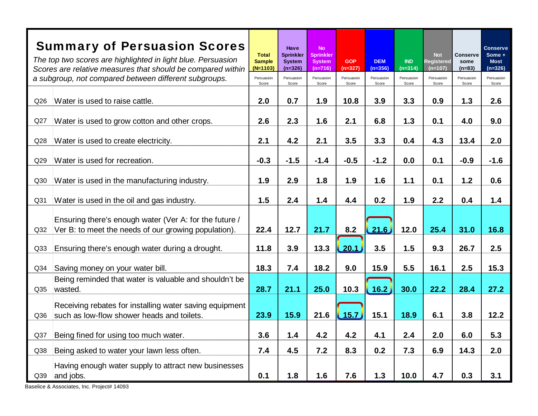|                 | <b>Summary of Persuasion Scores</b><br>The top two scores are highlighted in light blue. Persuasion<br>Scores are relative measures that should be compared within | <b>Total</b><br><b>Sample</b><br>$(N=1103)$ | Have<br><b>Sprinkler</b><br><b>System</b><br>$(n=326)$ | <b>No</b><br><b>Sprinkler</b><br><b>System</b><br>$(n=716)$ | <b>GOP</b><br>$(n=327)$ | <b>DEM</b><br>$(n=356)$           | <b>IND</b><br>$(n=314)$ | <b>Not</b><br><b>Registered</b><br>$(n=107)$ | <b>Conserve</b><br>some<br>$(n=83)$ | <b>Conserve</b><br>Some +<br><b>Most</b><br>$(n=326)$ |
|-----------------|--------------------------------------------------------------------------------------------------------------------------------------------------------------------|---------------------------------------------|--------------------------------------------------------|-------------------------------------------------------------|-------------------------|-----------------------------------|-------------------------|----------------------------------------------|-------------------------------------|-------------------------------------------------------|
|                 | a subgroup, not compared between different subgroups.                                                                                                              | Persuasion<br>Score                         | Persuasion<br>Score                                    | Persuasion<br>Score                                         | Persuasion<br>Score     | Persuasion<br>Score               | Persuasion<br>Score     | Persuasion<br>Score                          | Persuasion<br>Score                 | Persuasion<br>Score                                   |
| Q26             | Water is used to raise cattle.                                                                                                                                     | 2.0                                         | 0.7                                                    | 1.9                                                         | 10.8                    | 3.9                               | 3.3                     | 0.9                                          | 1.3                                 | 2.6                                                   |
| Q27             | Water is used to grow cotton and other crops.                                                                                                                      | 2.6                                         | 2.3                                                    | 1.6                                                         | 2.1                     | 6.8                               | 1.3                     | 0.1                                          | 4.0                                 | 9.0                                                   |
| Q <sub>28</sub> | Water is used to create electricity.                                                                                                                               | 2.1                                         | 4.2                                                    | 2.1                                                         | 3.5                     | 3.3                               | 0.4                     | 4.3                                          | 13.4                                | 2.0                                                   |
| Q29             | Water is used for recreation.                                                                                                                                      | $-0.3$                                      | $-1.5$                                                 | $-1.4$                                                      | $-0.5$                  | $-1.2$                            | 0.0                     | 0.1                                          | $-0.9$                              | $-1.6$                                                |
| Q30             | Water is used in the manufacturing industry.                                                                                                                       | 1.9                                         | 2.9                                                    | 1.8                                                         | 1.9                     | 1.6                               | $1.1$                   | 0.1                                          | 1.2                                 | 0.6                                                   |
| Q <sub>31</sub> | Water is used in the oil and gas industry.                                                                                                                         | 1.5                                         | 2.4                                                    | 1.4                                                         | 4.4                     | 0.2                               | 1.9                     | 2.2                                          | 0.4                                 | 1.4                                                   |
| Q <sub>32</sub> | Ensuring there's enough water (Ver A: for the future /<br>Ver B: to meet the needs of our growing population).                                                     | 22.4                                        | 12.7                                                   | 21.7                                                        | 8.2                     | $\left\lfloor 21.6 \right\rfloor$ | 12.0                    | 25.4                                         | 31.0                                | 16.8                                                  |
| Q33             | Ensuring there's enough water during a drought.                                                                                                                    | 11.8                                        | 3.9                                                    | 13.3                                                        | 20.1                    | 3.5                               | 1.5                     | 9.3                                          | 26.7                                | 2.5                                                   |
| Q34             | Saving money on your water bill.                                                                                                                                   | 18.3                                        | 7.4                                                    | 18.2                                                        | 9.0                     | 15.9                              | 5.5                     | 16.1                                         | 2.5                                 | 15.3                                                  |
| Q <sub>35</sub> | Being reminded that water is valuable and shouldn't be<br>wasted.                                                                                                  | 28.7                                        | 21.1                                                   | 25.0                                                        | 10.3                    | 16.2                              | 30.0                    | 22.2                                         | 28.4                                | 27.2                                                  |
| Q36             | Receiving rebates for installing water saving equipment<br>such as low-flow shower heads and toilets.                                                              | 23.9                                        | 15.9                                                   | 21.6                                                        | 15.7                    | 15.1                              | 18.9                    | 6.1                                          | 3.8                                 | 12.2                                                  |
| Q <sub>37</sub> | Being fined for using too much water.                                                                                                                              | 3.6                                         | 1.4                                                    | 4.2                                                         | 4.2                     | 4.1                               | 2.4                     | 2.0                                          | 6.0                                 | 5.3                                                   |
| Q38             | Being asked to water your lawn less often.                                                                                                                         | 7.4                                         | 4.5                                                    | 7.2                                                         | 8.3                     | 0.2                               | 7.3                     | 6.9                                          | 14.3                                | 2.0                                                   |
| Q39             | Having enough water supply to attract new businesses<br>and jobs.                                                                                                  | 0.1                                         | 1.8                                                    | 1.6                                                         | 7.6                     | 1.3                               | 10.0                    | 4.7                                          | 0.3                                 | 3.1                                                   |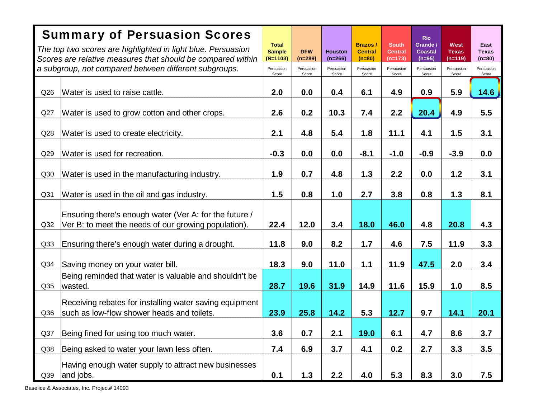|                 | <b>Summary of Persuasion Scores</b>                                                                                  |                                             |                         |                             |                                              |                                             | <b>Rio</b>                             |                                          |                                  |
|-----------------|----------------------------------------------------------------------------------------------------------------------|---------------------------------------------|-------------------------|-----------------------------|----------------------------------------------|---------------------------------------------|----------------------------------------|------------------------------------------|----------------------------------|
|                 | The top two scores are highlighted in light blue. Persuasion                                                         | <b>Total</b><br><b>Sample</b><br>$(N=1103)$ | <b>DFW</b><br>$(n=289)$ | <b>Houston</b><br>$(n=266)$ | <b>Brazos/</b><br><b>Central</b><br>$(n=80)$ | <b>South</b><br><b>Central</b><br>$(n=173)$ | Grande /<br><b>Coastal</b><br>$(n=95)$ | <b>West</b><br><b>Texas</b><br>$(n=119)$ | East<br><b>Texas</b><br>$(n=80)$ |
|                 | Scores are relative measures that should be compared within<br>a subgroup, not compared between different subgroups. | Persuasion<br>Score                         | Persuasion<br>Score     | Persuasion<br>Score         | Persuasion<br>Score                          | Persuasion<br>Score                         | Persuasion<br>Score                    | Persuasion<br>Score                      | Persuasion<br>Score              |
|                 |                                                                                                                      |                                             |                         |                             |                                              |                                             |                                        |                                          |                                  |
| Q26             | Water is used to raise cattle.                                                                                       | 2.0                                         | 0.0                     | 0.4                         | 6.1                                          | 4.9                                         | 0.9                                    | 5.9                                      | 14.6                             |
| Q27             | Water is used to grow cotton and other crops.                                                                        | 2.6                                         | 0.2                     | 10.3                        | 7.4                                          | 2.2                                         | 20.4                                   | 4.9                                      | 5.5                              |
| Q28             | Water is used to create electricity.                                                                                 | 2.1                                         | 4.8                     | 5.4                         | 1.8                                          | 11.1                                        | 4.1                                    | 1.5                                      | 3.1                              |
| Q29             | Water is used for recreation.                                                                                        | $-0.3$                                      | 0.0                     | 0.0                         | $-8.1$                                       | $-1.0$                                      | $-0.9$                                 | $-3.9$                                   | 0.0                              |
| Q30             | Water is used in the manufacturing industry.                                                                         | 1.9                                         | 0.7                     | 4.8                         | 1.3                                          | 2.2                                         | 0.0                                    | 1.2                                      | 3.1                              |
| Q <sub>31</sub> | Water is used in the oil and gas industry.                                                                           | 1.5                                         | 0.8                     | 1.0                         | 2.7                                          | 3.8                                         | 0.8                                    | 1.3                                      | 8.1                              |
|                 |                                                                                                                      |                                             |                         |                             |                                              |                                             |                                        |                                          |                                  |
|                 | Ensuring there's enough water (Ver A: for the future /                                                               |                                             |                         |                             |                                              |                                             |                                        |                                          |                                  |
| Q <sub>32</sub> | Ver B: to meet the needs of our growing population).                                                                 | 22.4                                        | 12.0                    | 3.4                         | 18.0                                         | 46.0                                        | 4.8                                    | 20.8                                     | 4.3                              |
| Q <sub>33</sub> | Ensuring there's enough water during a drought.                                                                      | 11.8                                        | 9.0                     | 8.2                         | 1.7                                          | 4.6                                         | 7.5                                    | 11.9                                     | 3.3                              |
| Q <sub>34</sub> | Saving money on your water bill.                                                                                     | 18.3                                        | 9.0                     | 11.0                        | 1.1                                          | 11.9                                        | 47.5                                   | 2.0                                      | 3.4                              |
|                 | Being reminded that water is valuable and shouldn't be                                                               |                                             |                         |                             |                                              |                                             |                                        |                                          |                                  |
| Q <sub>35</sub> | wasted.                                                                                                              | 28.7                                        | 19.6                    | 31.9                        | 14.9                                         | 11.6                                        | 15.9                                   | 1.0                                      | 8.5                              |
|                 | Receiving rebates for installing water saving equipment                                                              |                                             |                         |                             |                                              |                                             |                                        |                                          |                                  |
| Q36             | such as low-flow shower heads and toilets.                                                                           | 23.9                                        | 25.8                    | 14.2                        | 5.3                                          | 12.7                                        | 9.7                                    | 14.1                                     | 20.1                             |
| Q37             | Being fined for using too much water.                                                                                | 3.6                                         | 0.7                     | 2.1                         | 19.0                                         | 6.1                                         | 4.7                                    | 8.6                                      | 3.7                              |
| Q38             | Being asked to water your lawn less often.                                                                           | 7.4                                         | 6.9                     | 3.7                         | 4.1                                          | 0.2                                         | 2.7                                    | 3.3                                      | 3.5                              |
| Q39             | Having enough water supply to attract new businesses<br>and jobs.                                                    | 0.1                                         | 1.3                     | 2.2                         | 4.0                                          | 5.3                                         | 8.3                                    | 3.0                                      | 7.5                              |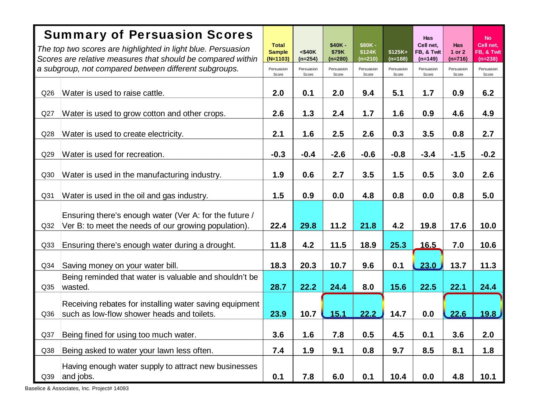|                 | <b>Summary of Persuasion Scores</b>                                                                                         |                                             |                           |                                |                               |                      | <b>Has</b>                           |                            | <b>No</b>                            |
|-----------------|-----------------------------------------------------------------------------------------------------------------------------|---------------------------------------------|---------------------------|--------------------------------|-------------------------------|----------------------|--------------------------------------|----------------------------|--------------------------------------|
|                 | The top two scores are highlighted in light blue. Persuasion<br>Scores are relative measures that should be compared within | <b>Total</b><br><b>Sample</b><br>$(N=1103)$ | $<$ \$40 $K$<br>$(n=254)$ | $$40K -$<br>\$79K<br>$(n=280)$ | \$80K-<br>\$124K<br>$(n=210)$ | \$125K+<br>$(n=188)$ | Cell net,<br>FB, & Twit<br>$(n=149)$ | Has<br>1 or 2<br>$(n=716)$ | Cell net,<br>FB, & Twit<br>$(n=238)$ |
|                 | a subgroup, not compared between different subgroups.                                                                       | Persuasion<br>Score                         | Persuasion<br>Score       | Persuasion<br>Score            | Persuasion<br>Score           | Persuasion<br>Score  | Persuasion<br>Score                  | Persuasion<br>Score        | Persuasion<br>Score                  |
| Q26             | Water is used to raise cattle.                                                                                              | 2.0                                         | 0.1                       | 2.0                            | 9.4                           | 5.1                  | 1.7                                  | 0.9                        | 6.2                                  |
| Q27             | Water is used to grow cotton and other crops.                                                                               | 2.6                                         | 1.3                       | 2.4                            | 1.7                           | 1.6                  | 0.9                                  | 4.6                        | 4.9                                  |
| Q28             | Water is used to create electricity.                                                                                        | 2.1                                         | 1.6                       | 2.5                            | 2.6                           | 0.3                  | 3.5                                  | 0.8                        | 2.7                                  |
| Q29             | Water is used for recreation.                                                                                               | $-0.3$                                      | $-0.4$                    | $-2.6$                         | $-0.6$                        | $-0.8$               | $-3.4$                               | $-1.5$                     | $-0.2$                               |
| Q30             | Water is used in the manufacturing industry.                                                                                | 1.9                                         | 0.6                       | 2.7                            | 3.5                           | 1.5                  | 0.5                                  | 3.0                        | 2.6                                  |
| Q <sub>31</sub> | Water is used in the oil and gas industry.                                                                                  | 1.5                                         | 0.9                       | 0.0                            | 4.8                           | 0.8                  | 0.0                                  | 0.8                        | 5.0                                  |
| Q32             | Ensuring there's enough water (Ver A: for the future /<br>Ver B: to meet the needs of our growing population).              | 22.4                                        | 29.8                      | 11.2                           | 21.8                          | 4.2                  | 19.8                                 | 17.6                       | 10.0                                 |
| Q33             | Ensuring there's enough water during a drought.                                                                             | 11.8                                        | 4.2                       | 11.5                           | 18.9                          | 25.3                 | <u>16.5</u>                          | 7.0                        | 10.6                                 |
| Q <sub>34</sub> | Saving money on your water bill.                                                                                            | 18.3                                        | 20.3                      | 10.7                           | 9.6                           | 0.1                  | 23.0                                 | 13.7                       | 11.3                                 |
| Q35             | Being reminded that water is valuable and shouldn't be<br>wasted.                                                           | 28.7                                        | 22.2                      | 24.4                           | 8.0                           | 15.6                 | 22.5                                 | 22.1                       | 24.4                                 |
| Q36             | Receiving rebates for installing water saving equipment<br>such as low-flow shower heads and toilets.                       | 23.9                                        | 10.7                      | 15.1                           | 22.2                          | 14.7                 | 0.0                                  | 22.6                       | 19.8                                 |
| Q37             | Being fined for using too much water.                                                                                       | 3.6                                         | 1.6                       | 7.8                            | 0.5                           | 4.5                  | 0.1                                  | 3.6                        | 2.0                                  |
| Q38             | Being asked to water your lawn less often.                                                                                  | 7.4                                         | 1.9                       | 9.1                            | 0.8                           | 9.7                  | 8.5                                  | 8.1                        | 1.8                                  |
| Q39             | Having enough water supply to attract new businesses<br>and jobs.                                                           | 0.1                                         | 7.8                       | 6.0                            | 0.1                           | 10.4                 | 0.0                                  | 4.8                        | 10.1                                 |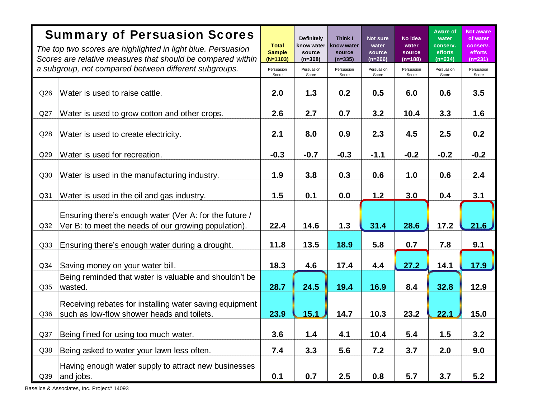|     | <b>Summary of Persuasion Scores</b><br>The top two scores are highlighted in light blue. Persuasion<br>Scores are relative measures that should be compared within<br>a subgroup, not compared between different subgroups. | <b>Total</b><br><b>Sample</b><br>$(N=1103)$<br>Persuasion | <b>Definitely</b><br>know water<br>source<br>$(n=308)$<br>Persuasion | <b>Think I</b><br>snow water<br>source<br>(n=335)<br>Persuasion | Not sure<br>water<br>source<br>$(n=266)$<br>Persuasion | No idea<br>water<br>source<br>$(n=188)$<br>Persuasion | Aware of<br>water<br>conserv.<br>efforts<br>$(n=634)$<br>Persuasion | <b>Not aware</b><br>of water<br>conserv.<br>efforts<br>$(n=231)$<br>Persuasion |
|-----|-----------------------------------------------------------------------------------------------------------------------------------------------------------------------------------------------------------------------------|-----------------------------------------------------------|----------------------------------------------------------------------|-----------------------------------------------------------------|--------------------------------------------------------|-------------------------------------------------------|---------------------------------------------------------------------|--------------------------------------------------------------------------------|
| Q26 | Water is used to raise cattle.                                                                                                                                                                                              | Score<br>2.0                                              | Score<br>1.3                                                         | Score<br>0.2                                                    | Score<br>0.5                                           | Score<br>6.0                                          | Score<br>0.6                                                        | Score<br>3.5                                                                   |
| Q27 | Water is used to grow cotton and other crops.                                                                                                                                                                               | 2.6                                                       | 2.7                                                                  | 0.7                                                             | 3.2                                                    | 10.4                                                  | 3.3                                                                 | 1.6                                                                            |
| Q28 | Water is used to create electricity.                                                                                                                                                                                        | 2.1                                                       | 8.0                                                                  | 0.9                                                             | 2.3                                                    | 4.5                                                   | 2.5                                                                 | 0.2                                                                            |
| Q29 | Water is used for recreation.                                                                                                                                                                                               | $-0.3$                                                    | $-0.7$                                                               | $-0.3$                                                          | $-1.1$                                                 | $-0.2$                                                | $-0.2$                                                              | $-0.2$                                                                         |
| Q30 | Water is used in the manufacturing industry.                                                                                                                                                                                | 1.9                                                       | 3.8                                                                  | 0.3                                                             | 0.6                                                    | 1.0                                                   | 0.6                                                                 | 2.4                                                                            |
| Q31 | Water is used in the oil and gas industry.                                                                                                                                                                                  | 1.5                                                       | 0.1                                                                  | 0.0                                                             | 1.2                                                    | 3.0                                                   | 0.4                                                                 | 3.1                                                                            |
| Q32 | Ensuring there's enough water (Ver A: for the future /<br>Ver B: to meet the needs of our growing population).                                                                                                              | 22.4                                                      | 14.6                                                                 | 1.3                                                             | 31.4                                                   | 28.6                                                  | 17.2                                                                | 21.6                                                                           |
| Q33 | Ensuring there's enough water during a drought.                                                                                                                                                                             | 11.8                                                      | 13.5                                                                 | 18.9                                                            | 5.8                                                    | 0.7                                                   | 7.8                                                                 | 9.1                                                                            |
| Q34 | Saving money on your water bill.                                                                                                                                                                                            | 18.3                                                      | 4.6                                                                  | 17.4                                                            | 4.4                                                    | 27.2                                                  | 14.1                                                                | 17.9                                                                           |
| Q35 | Being reminded that water is valuable and shouldn't be<br>wasted.                                                                                                                                                           | 28.7                                                      | 24.5                                                                 | 19.4                                                            | 16.9                                                   | 8.4                                                   | 32.8                                                                | 12.9                                                                           |
| Q36 | Receiving rebates for installing water saving equipment<br>such as low-flow shower heads and toilets.                                                                                                                       | 23.9                                                      | 15.1                                                                 | 14.7                                                            | 10.3                                                   | 23.2                                                  | 22.1                                                                | 15.0                                                                           |
| Q37 | Being fined for using too much water.                                                                                                                                                                                       | 3.6                                                       | 1.4                                                                  | 4.1                                                             | 10.4                                                   | 5.4                                                   | 1.5                                                                 | 3.2                                                                            |
| Q38 | Being asked to water your lawn less often.                                                                                                                                                                                  | 7.4                                                       | 3.3                                                                  | 5.6                                                             | 7.2                                                    | 3.7                                                   | 2.0                                                                 | 9.0                                                                            |
| Q39 | Having enough water supply to attract new businesses<br>and jobs.                                                                                                                                                           | 0.1                                                       | 0.7                                                                  | 2.5                                                             | 0.8                                                    | 5.7                                                   | 3.7                                                                 | 5.2                                                                            |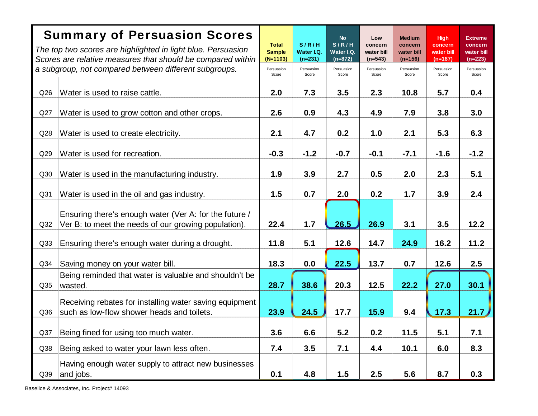|                 | <b>Summary of Persuasion Scores</b>                                                                                         |                                             |                                  | <b>No</b>                        | Low                                | <b>Medium</b>                      | <b>High</b>                        | Extreme                            |
|-----------------|-----------------------------------------------------------------------------------------------------------------------------|---------------------------------------------|----------------------------------|----------------------------------|------------------------------------|------------------------------------|------------------------------------|------------------------------------|
|                 | The top two scores are highlighted in light blue. Persuasion<br>Scores are relative measures that should be compared within | <b>Total</b><br><b>Sample</b><br>$(N=1103)$ | S/R/H<br>Water I.Q.<br>$(n=231)$ | S/R/H<br>Water I.Q.<br>$(n=872)$ | concern<br>water bill<br>$(n=543)$ | concern<br>water bill<br>$(n=156)$ | concern<br>water bill<br>$(n=187)$ | concern<br>water bill<br>$(n=223)$ |
|                 | a subgroup, not compared between different subgroups.                                                                       | Persuasion<br>Score                         | Persuasion<br>Score              | Persuasion<br>Score              | Persuasion<br>Score                | Persuasion<br>Score                | Persuasion<br>Score                | Persuasion<br>Score                |
| Q26             | Water is used to raise cattle.                                                                                              | 2.0                                         | 7.3                              | 3.5                              | 2.3                                | 10.8                               | 5.7                                | 0.4                                |
| Q27             | Water is used to grow cotton and other crops.                                                                               | 2.6                                         | 0.9                              | 4.3                              | 4.9                                | 7.9                                | 3.8                                | 3.0                                |
| Q28             | Water is used to create electricity.                                                                                        | 2.1                                         | 4.7                              | 0.2                              | 1.0                                | 2.1                                | 5.3                                | 6.3                                |
| Q29             | Water is used for recreation.                                                                                               | $-0.3$                                      | $-1.2$                           | $-0.7$                           | $-0.1$                             | $-7.1$                             | $-1.6$                             | $-1.2$                             |
| Q30             | Water is used in the manufacturing industry.                                                                                | 1.9                                         | 3.9                              | 2.7                              | 0.5                                | 2.0                                | 2.3                                | 5.1                                |
| Q <sub>31</sub> | Water is used in the oil and gas industry.                                                                                  | 1.5                                         | 0.7                              | 2.0                              | 0.2                                | 1.7                                | 3.9                                | 2.4                                |
|                 | Ensuring there's enough water (Ver A: for the future /                                                                      |                                             |                                  |                                  |                                    |                                    |                                    |                                    |
| Q <sub>32</sub> | Ver B: to meet the needs of our growing population).                                                                        | 22.4                                        | $1.7$                            | 26.5                             | 26.9                               | 3.1                                | 3.5                                | 12.2                               |
| Q <sub>33</sub> | Ensuring there's enough water during a drought.                                                                             | 11.8                                        | 5.1                              | 12.6                             | 14.7                               | 24.9                               | 16.2                               | 11.2                               |
| Q <sub>34</sub> | Saving money on your water bill.                                                                                            | 18.3                                        | 0.0                              | 22.5                             | 13.7                               | 0.7                                | 12.6                               | 2.5                                |
| Q35             | Being reminded that water is valuable and shouldn't be<br>wasted.                                                           | 28.7                                        | 38.6                             | 20.3                             | 12.5                               | 22.2                               | 27.0                               | 30.1                               |
|                 | Receiving rebates for installing water saving equipment                                                                     |                                             |                                  |                                  |                                    |                                    |                                    |                                    |
| Q36             | such as low-flow shower heads and toilets.                                                                                  | 23.9                                        | 24.5                             | 17.7                             | 15.9                               | 9.4                                | 17.3                               | 21.7                               |
| Q37             | Being fined for using too much water.                                                                                       | 3.6                                         | 6.6                              | 5.2                              | 0.2                                | 11.5                               | 5.1                                | 7.1                                |
| Q38             | Being asked to water your lawn less often.                                                                                  | 7.4                                         | 3.5                              | 7.1                              | 4.4                                | 10.1                               | 6.0                                | 8.3                                |
|                 | Having enough water supply to attract new businesses                                                                        |                                             |                                  |                                  |                                    |                                    |                                    |                                    |
| Q39             | and jobs.                                                                                                                   | 0.1                                         | 4.8                              | 1.5                              | 2.5                                | 5.6                                | 8.7                                | 0.3                                |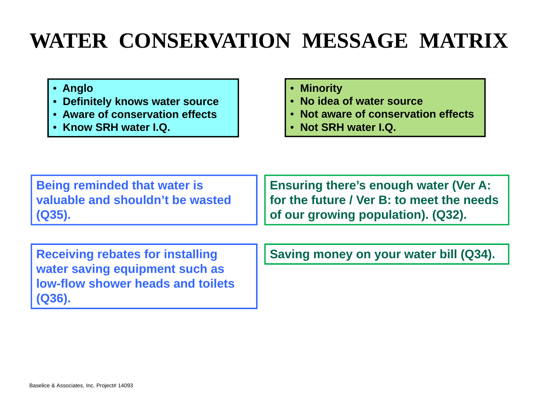### **WATER CONSERVATION MESSAGE MATRIX**

- **Anglo**
- **Definitely knows water source**
- **Aware of conservation effects**
- **Know SRH water I.Q.**
- **Minority**
- **No idea of water source**
- **Not aware of conservation effects**
- **Not SRH water I.Q.**

**Being reminded that water is valuable and shouldn't be wasted (Q35).**

**Ensuring there's enough water (Ver A: for the future / Ver B: to meet the needs of our growing population). (Q32).**

**Receiving rebates for installing water saving equipment such as low-flow shower heads and toilets(Q36).**

**Saving money on your water bill (Q34).**